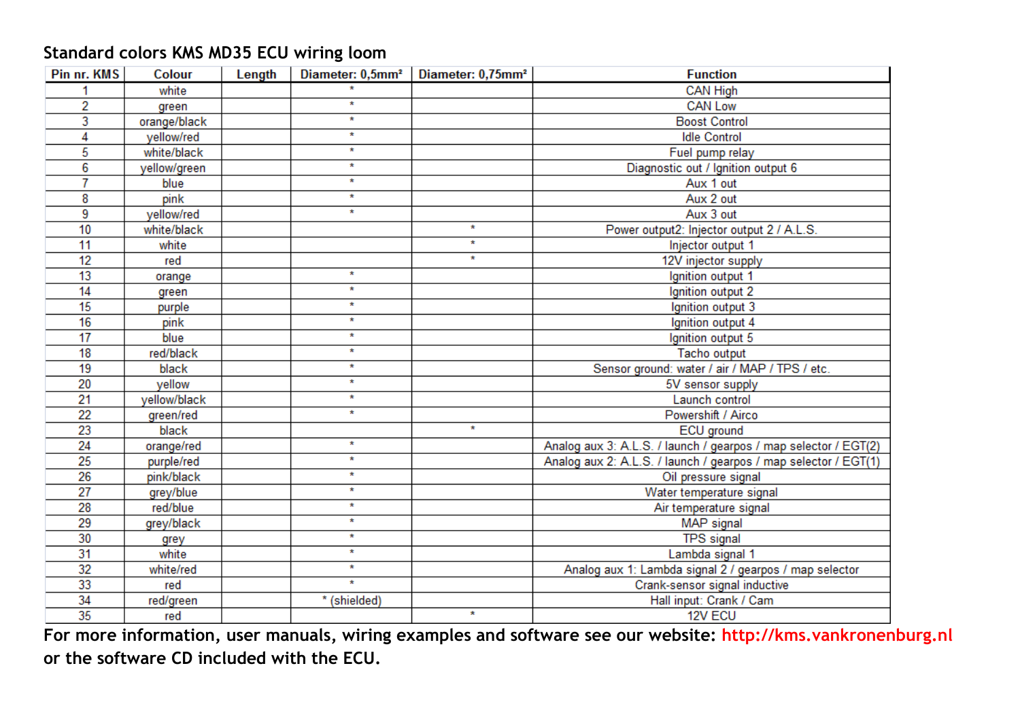## **Standard colors KMS MD35 ECU wiring loom**

| Pin nr. KMS | Colour       | Length | Diameter: 0,5mm <sup>2</sup> | Diameter: 0,75mm <sup>2</sup> | <b>Function</b>                                                 |
|-------------|--------------|--------|------------------------------|-------------------------------|-----------------------------------------------------------------|
|             | white        |        | $\star$                      |                               | <b>CAN High</b>                                                 |
| 2           | green        |        | $\star$                      |                               | <b>CAN Low</b>                                                  |
| 3           | orange/black |        | $\star$                      |                               | <b>Boost Control</b>                                            |
| 4           | yellow/red   |        | $\star$                      |                               | <b>Idle Control</b>                                             |
| 5           | white/black  |        | $\star$                      |                               | Fuel pump relay                                                 |
| 6           | yellow/green |        | $\star$                      |                               | Diagnostic out / Ignition output 6                              |
| 7           | blue         |        | $\star$                      |                               | Aux 1 out                                                       |
| 8           | pink         |        | $\star$                      |                               | Aux 2 out                                                       |
| 9           | vellow/red   |        | $\star$                      |                               | Aux 3 out                                                       |
| 10          | white/black  |        |                              | $\star$                       | Power output2: Injector output 2 / A.L.S.                       |
| 11          | white        |        |                              | $\star$                       | Injector output 1                                               |
| 12          | red          |        |                              | $\star$                       | 12V injector supply                                             |
| 13          | orange       |        | $\star$                      |                               | Ignition output 1                                               |
| 14          | green        |        | $\star$                      |                               | Ignition output 2                                               |
| 15          | purple       |        | $\star$                      |                               | Ignition output 3                                               |
| 16          | pink         |        | $\star$                      |                               | Ignition output 4                                               |
| 17          | blue         |        | $\star$                      |                               | Ignition output 5                                               |
| 18          | red/black    |        | $\star$                      |                               | Tacho output                                                    |
| 19          | black        |        | $\star$                      |                               | Sensor ground: water / air / MAP / TPS / etc.                   |
| 20          | vellow       |        | $\star$                      |                               | 5V sensor supply                                                |
| 21          | yellow/black |        | $\star$                      |                               | Launch control                                                  |
| 22          | green/red    |        | $\star$                      |                               | Powershift / Airco                                              |
| 23          | black        |        |                              | $\star$                       | ECU ground                                                      |
| 24          | orange/red   |        | $\star$                      |                               | Analog aux 3: A.L.S. / launch / gearpos / map selector / EGT(2) |
| 25          | purple/red   |        | $\star$                      |                               | Analog aux 2: A.L.S. / launch / gearpos / map selector / EGT(1) |
| 26          | pink/black   |        | $\star$                      |                               | Oil pressure signal                                             |
| 27          | grey/blue    |        | $\star$                      |                               | Water temperature signal                                        |
| 28          | red/blue     |        | $\star$                      |                               | Air temperature signal                                          |
| 29          | grey/black   |        | $\star$                      |                               | MAP signal                                                      |
| 30          | grey         |        | $\star$                      |                               | <b>TPS</b> signal                                               |
| 31          | white        |        | $\star$                      |                               | Lambda signal 1                                                 |
| 32          | white/red    |        | $\star$                      |                               | Analog aux 1: Lambda signal 2 / gearpos / map selector          |
| 33          | red          |        | $\star$                      |                               | Crank-sensor signal inductive                                   |
| 34          | red/green    |        | * (shielded)                 |                               | Hall input: Crank / Cam                                         |
| 35          | red          |        |                              | $\star$                       | 12V ECU                                                         |

**For more information, user manuals, wiring examples and software see our website: http://kms.vankronenburg.nl or the software CD included with the ECU.**